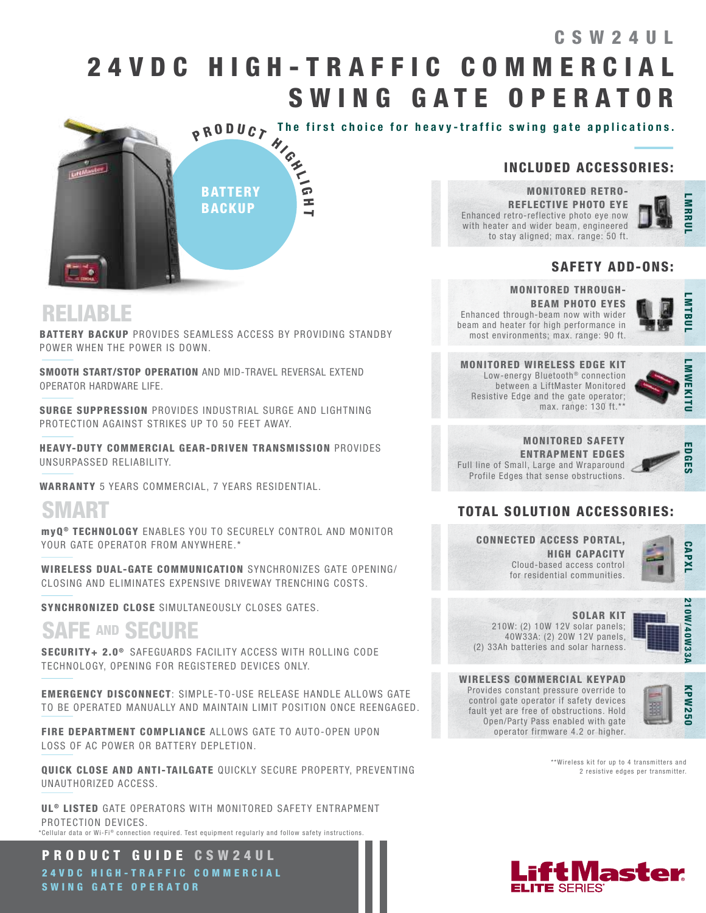## 2 4 V D C H I G H - T R A F F I C C O M M E R C I A L SWING GATE OPERATOR CSW24UL



#### INCLUDED ACCESSORIES:

MONITORED RETRO-REFLECTIVE PHOTO EYE Enhanced retro-reflective photo eye now with heater and wider beam, engineered to stay aligned; max. range: 50 ft.

## LMARUL **IMRRU**

#### SAFETY ADD-ONS:

## RELIABLE

BATTERY BACKUP PROVIDES SEAMLESS ACCESS BY PROVIDING STANDBY POWER WHEN THE POWER IS DOWN.

SMOOTH START/STOP OPERATION AND MID-TRAVEL REVERSAL EXTEND OPERATOR HARDWARE LIFE.

SURGE SUPPRESSION PROVIDES INDUSTRIAL SURGE AND LIGHTNING PROTECTION AGAINST STRIKES UP TO 50 FEET AWAY.

HEAVY-DUTY COMMERCIAL GEAR-DRIVEN TRANSMISSION PROVIDES UNSURPASSED RELIABILITY.

WARRANTY 5 YEARS COMMERCIAL, 7 YEARS RESIDENTIAL.

## SMART

myQ<sup>®</sup> TECHNOLOGY ENABLES YOU TO SECURELY CONTROL AND MONITOR YOUR GATE OPERATOR FROM ANYWHERE.\*

WIRELESS DUAL-GATE COMMUNICATION SYNCHRONIZES GATE OPENING/ CLOSING AND ELIMINATES EXPENSIVE DRIVEWAY TRENCHING COSTS.

SYNCHRONIZED CLOSE SIMULTANEOUSLY CLOSES GATES.

## SAFE AND SECURE

SECURITY+ 2.0<sup>®</sup> SAFEGUARDS FACILITY ACCESS WITH ROLLING CODE TECHNOLOGY, OPENING FOR REGISTERED DEVICES ONLY.

EMERGENCY DISCONNECT: SIMPLE-TO-USE RELEASE HANDLE ALLOWS GATE TO BE OPERATED MANUALLY AND MAINTAIN LIMIT POSITION ONCE REENGAGED.

FIRE DEPARTMENT COMPLIANCE ALLOWS GATE TO AUTO-OPEN UPON LOSS OF AC POWER OR BATTERY DEPLETION.

QUICK CLOSE AND ANTI-TAILGATE QUICKLY SECURE PROPERTY, PREVENTING UNAUTHORIZED ACCESS.

UL<sup>®</sup> LISTED GATE OPERATORS WITH MONITORED SAFETY ENTRAPMENT PROTECTION DEVICES. \*Cellular data or Wi-Fi® connection required. Test equipment requiarly and follow safety instructions.

PRODUCT GUIDE CSW24UL 2 4 V D C H I G H - T R A F F I C C O M M E R C I A L SWING GATE OPERATOR

#### MONITORED THROUGH-BEAM PHOTO EYES Enhanced through-beam now with wider beam and heater for high performance in most environments; max. range: 90 ft.



MONITORED WIRELESS EDGE KIT Low-energy Bluetooth<sup>®</sup> connection between a LiftMaster Monitored Resistive Edge and the gate operator; max. range: 130 ft.\*\*



MONITORED SAFETY ENTRAPMENT EDGES Full line of Small, Large and Wraparound Profile Edges that sense obstructions.



### TOTAL SOLUTION ACCESSORIES:

CONNECTED ACCESS PORTAL, HIGH CAPACITY Cloud-based access control for residential communities.



SOLAR KIT 210W: (2) 10W 12V solar panels; 40W33A: (2) 20W 12V panels, (2) 33Ah batteries and solar harness.



WIRELESS COMMERCIAL KEYPAD Provides constant pressure override to control gate operator if safety devices fault yet are free of obstructions. Hold Open/Party Pass enabled with gate operator firmware 4.2 or higher.



\*\*Wireless kit for up to 4 transmitters and 2 resistive edges per transmitter.